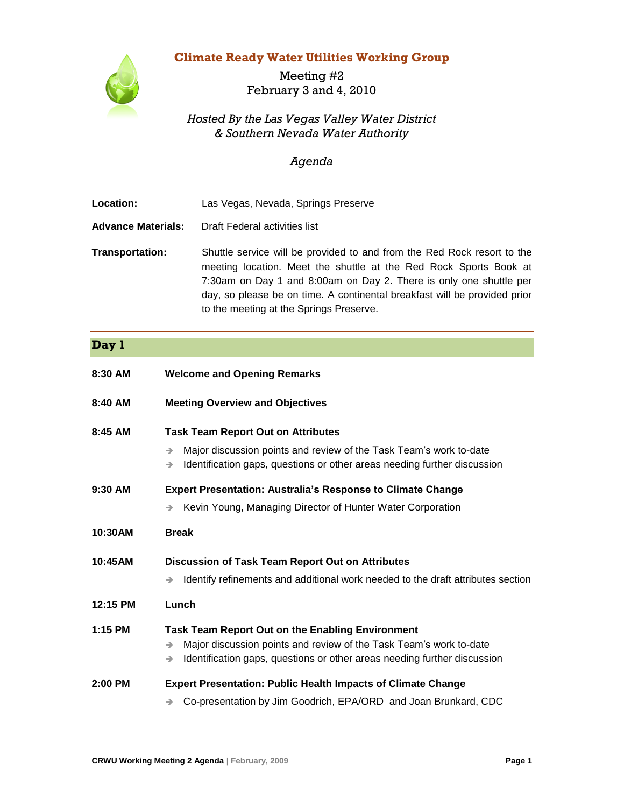## **Climate Ready Water Utilities Working Group**



Meeting #2 February 3 and 4, 2010

## *Hosted By the Las Vegas Valley Water District & Southern Nevada Water Authority*

## *Agenda*

| Location:                 | Las Vegas, Nevada, Springs Preserve                                                                                                                                                                                                                                                                                                        |
|---------------------------|--------------------------------------------------------------------------------------------------------------------------------------------------------------------------------------------------------------------------------------------------------------------------------------------------------------------------------------------|
| <b>Advance Materials:</b> | Draft Federal activities list                                                                                                                                                                                                                                                                                                              |
| Transportation:           | Shuttle service will be provided to and from the Red Rock resort to the<br>meeting location. Meet the shuttle at the Red Rock Sports Book at<br>7:30am on Day 1 and 8:00am on Day 2. There is only one shuttle per<br>day, so please be on time. A continental breakfast will be provided prior<br>to the meeting at the Springs Preserve. |

## **Day 1**

| 8:30 AM   | <b>Welcome and Opening Remarks</b>                                                                                                                                                                                                          |
|-----------|---------------------------------------------------------------------------------------------------------------------------------------------------------------------------------------------------------------------------------------------|
| 8:40 AM   | <b>Meeting Overview and Objectives</b>                                                                                                                                                                                                      |
| 8:45 AM   | <b>Task Team Report Out on Attributes</b><br>Major discussion points and review of the Task Team's work to-date<br>$\rightarrow$<br>Identification gaps, questions or other areas needing further discussion<br>$\rightarrow$               |
| 9:30 AM   | <b>Expert Presentation: Australia's Response to Climate Change</b><br>Kevin Young, Managing Director of Hunter Water Corporation                                                                                                            |
| 10:30AM   | <b>Break</b>                                                                                                                                                                                                                                |
| 10:45AM   | <b>Discussion of Task Team Report Out on Attributes</b><br>Identify refinements and additional work needed to the draft attributes section<br>$\rightarrow$                                                                                 |
| 12:15 PM  | Lunch                                                                                                                                                                                                                                       |
| $1:15$ PM | <b>Task Team Report Out on the Enabling Environment</b><br>Major discussion points and review of the Task Team's work to-date<br>$\rightarrow$<br>Identification gaps, questions or other areas needing further discussion<br>$\rightarrow$ |
| $2:00$ PM | <b>Expert Presentation: Public Health Impacts of Climate Change</b>                                                                                                                                                                         |
|           | Co-presentation by Jim Goodrich, EPA/ORD and Joan Brunkard, CDC                                                                                                                                                                             |